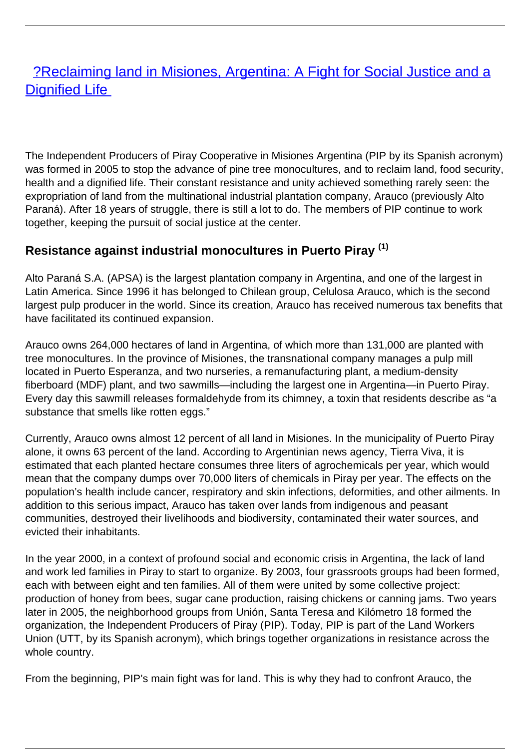# [?Reclaiming land in Misiones, Argentina: A Fight for Social Justice and a](/bulletin-articles/reclaiming-land-in-misiones-argentina) **[Dignified Life](/bulletin-articles/reclaiming-land-in-misiones-argentina)**

The Independent Producers of Piray Cooperative in Misiones Argentina (PIP by its Spanish acronym) was formed in 2005 to stop the advance of pine tree monocultures, and to reclaim land, food security, health and a dignified life. Their constant resistance and unity achieved something rarely seen: the expropriation of land from the multinational industrial plantation company, Arauco (previously Alto Paraná). After 18 years of struggle, there is still a lot to do. The members of PIP continue to work together, keeping the pursuit of social justice at the center.

# **Resistance against industrial monocultures in Puerto Piray (1)**

Alto Paraná S.A. (APSA) is the largest plantation company in Argentina, and one of the largest in Latin America. Since 1996 it has belonged to Chilean group, Celulosa Arauco, which is the second largest pulp producer in the world. Since its creation, Arauco has received numerous tax benefits that have facilitated its continued expansion.

Arauco owns 264,000 hectares of land in Argentina, of which more than 131,000 are planted with tree monocultures. In the province of Misiones, the transnational company manages a pulp mill located in Puerto Esperanza, and two nurseries, a remanufacturing plant, a medium-density fiberboard (MDF) plant, and two sawmills—including the largest one in Argentina—in Puerto Piray. Every day this sawmill releases formaldehyde from its chimney, a toxin that residents describe as "a substance that smells like rotten eggs."

Currently, Arauco owns almost 12 percent of all land in Misiones. In the municipality of Puerto Piray alone, it owns 63 percent of the land. According to Argentinian news agency, Tierra Viva, it is estimated that each planted hectare consumes three liters of agrochemicals per year, which would mean that the company dumps over 70,000 liters of chemicals in Piray per year. The effects on the population's health include cancer, respiratory and skin infections, deformities, and other ailments. In addition to this serious impact, Arauco has taken over lands from indigenous and peasant communities, destroyed their livelihoods and biodiversity, contaminated their water sources, and evicted their inhabitants.

In the year 2000, in a context of profound social and economic crisis in Argentina, the lack of land and work led families in Piray to start to organize. By 2003, four grassroots groups had been formed, each with between eight and ten families. All of them were united by some collective project: production of honey from bees, sugar cane production, raising chickens or canning jams. Two years later in 2005, the neighborhood groups from Unión, Santa Teresa and Kilómetro 18 formed the organization, the Independent Producers of Piray (PIP). Today, PIP is part of the Land Workers Union (UTT, by its Spanish acronym), which brings together organizations in resistance across the whole country.

From the beginning, PIP's main fight was for land. This is why they had to confront Arauco, the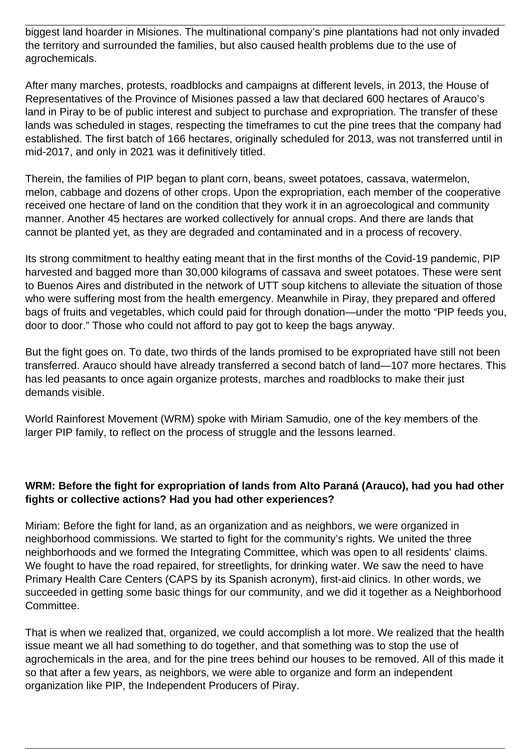biggest land hoarder in Misiones. The multinational company's pine plantations had not only invaded the territory and surrounded the families, but also caused health problems due to the use of agrochemicals.

After many marches, protests, roadblocks and campaigns at different levels, in 2013, the House of Representatives of the Province of Misiones passed a law that declared 600 hectares of Arauco's land in Piray to be of public interest and subject to purchase and expropriation. The transfer of these lands was scheduled in stages, respecting the timeframes to cut the pine trees that the company had established. The first batch of 166 hectares, originally scheduled for 2013, was not transferred until in mid-2017, and only in 2021 was it definitively titled.

Therein, the families of PIP began to plant corn, beans, sweet potatoes, cassava, watermelon, melon, cabbage and dozens of other crops. Upon the expropriation, each member of the cooperative received one hectare of land on the condition that they work it in an agroecological and community manner. Another 45 hectares are worked collectively for annual crops. And there are lands that cannot be planted yet, as they are degraded and contaminated and in a process of recovery.

Its strong commitment to healthy eating meant that in the first months of the Covid-19 pandemic, PIP harvested and bagged more than 30,000 kilograms of cassava and sweet potatoes. These were sent to Buenos Aires and distributed in the network of UTT soup kitchens to alleviate the situation of those who were suffering most from the health emergency. Meanwhile in Piray, they prepared and offered bags of fruits and vegetables, which could paid for through donation—under the motto "PIP feeds you, door to door." Those who could not afford to pay got to keep the bags anyway.

But the fight goes on. To date, two thirds of the lands promised to be expropriated have still not been transferred. Arauco should have already transferred a second batch of land—107 more hectares. This has led peasants to once again organize protests, marches and roadblocks to make their just demands visible.

World Rainforest Movement (WRM) spoke with Miriam Samudio, one of the key members of the larger PIP family, to reflect on the process of struggle and the lessons learned.

# **WRM: Before the fight for expropriation of lands from Alto Paraná (Arauco), had you had other fights or collective actions? Had you had other experiences?**

Miriam: Before the fight for land, as an organization and as neighbors, we were organized in neighborhood commissions. We started to fight for the community's rights. We united the three neighborhoods and we formed the Integrating Committee, which was open to all residents' claims. We fought to have the road repaired, for streetlights, for drinking water. We saw the need to have Primary Health Care Centers (CAPS by its Spanish acronym), first-aid clinics. In other words, we succeeded in getting some basic things for our community, and we did it together as a Neighborhood Committee.

That is when we realized that, organized, we could accomplish a lot more. We realized that the health issue meant we all had something to do together, and that something was to stop the use of agrochemicals in the area, and for the pine trees behind our houses to be removed. All of this made it so that after a few years, as neighbors, we were able to organize and form an independent organization like PIP, the Independent Producers of Piray.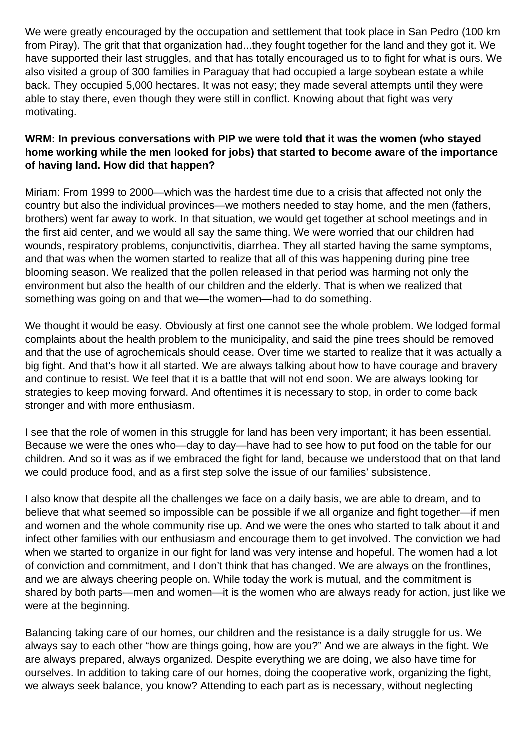We were greatly encouraged by the occupation and settlement that took place in San Pedro (100 km from Piray). The grit that that organization had...they fought together for the land and they got it. We have supported their last struggles, and that has totally encouraged us to to fight for what is ours. We also visited a group of 300 families in Paraguay that had occupied a large soybean estate a while back. They occupied 5,000 hectares. It was not easy; they made several attempts until they were able to stay there, even though they were still in conflict. Knowing about that fight was very motivating.

# **WRM: In previous conversations with PIP we were told that it was the women (who stayed home working while the men looked for jobs) that started to become aware of the importance of having land. How did that happen?**

Miriam: From 1999 to 2000—which was the hardest time due to a crisis that affected not only the country but also the individual provinces—we mothers needed to stay home, and the men (fathers, brothers) went far away to work. In that situation, we would get together at school meetings and in the first aid center, and we would all say the same thing. We were worried that our children had wounds, respiratory problems, conjunctivitis, diarrhea. They all started having the same symptoms, and that was when the women started to realize that all of this was happening during pine tree blooming season. We realized that the pollen released in that period was harming not only the environment but also the health of our children and the elderly. That is when we realized that something was going on and that we—the women—had to do something.

We thought it would be easy. Obviously at first one cannot see the whole problem. We lodged formal complaints about the health problem to the municipality, and said the pine trees should be removed and that the use of agrochemicals should cease. Over time we started to realize that it was actually a big fight. And that's how it all started. We are always talking about how to have courage and bravery and continue to resist. We feel that it is a battle that will not end soon. We are always looking for strategies to keep moving forward. And oftentimes it is necessary to stop, in order to come back stronger and with more enthusiasm.

I see that the role of women in this struggle for land has been very important; it has been essential. Because we were the ones who—day to day—have had to see how to put food on the table for our children. And so it was as if we embraced the fight for land, because we understood that on that land we could produce food, and as a first step solve the issue of our families' subsistence.

I also know that despite all the challenges we face on a daily basis, we are able to dream, and to believe that what seemed so impossible can be possible if we all organize and fight together—if men and women and the whole community rise up. And we were the ones who started to talk about it and infect other families with our enthusiasm and encourage them to get involved. The conviction we had when we started to organize in our fight for land was very intense and hopeful. The women had a lot of conviction and commitment, and I don't think that has changed. We are always on the frontlines, and we are always cheering people on. While today the work is mutual, and the commitment is shared by both parts—men and women—it is the women who are always ready for action, just like we were at the beginning.

Balancing taking care of our homes, our children and the resistance is a daily struggle for us. We always say to each other "how are things going, how are you?" And we are always in the fight. We are always prepared, always organized. Despite everything we are doing, we also have time for ourselves. In addition to taking care of our homes, doing the cooperative work, organizing the fight, we always seek balance, you know? Attending to each part as is necessary, without neglecting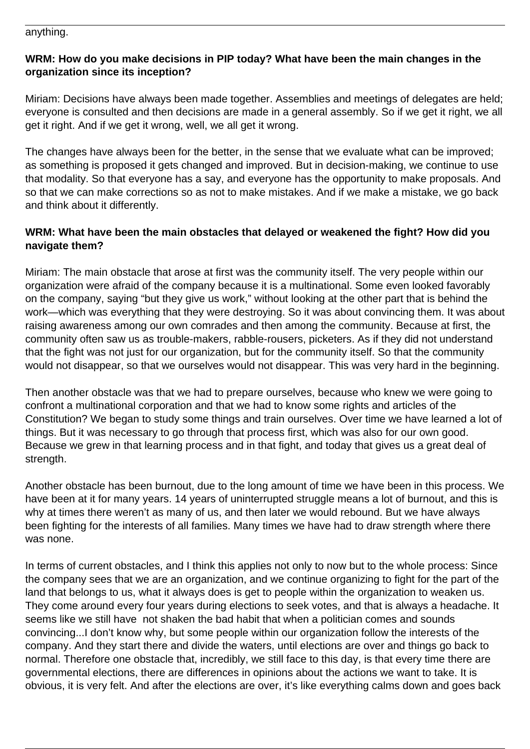#### anything.

# **WRM: How do you make decisions in PIP today? What have been the main changes in the organization since its inception?**

Miriam: Decisions have always been made together. Assemblies and meetings of delegates are held; everyone is consulted and then decisions are made in a general assembly. So if we get it right, we all get it right. And if we get it wrong, well, we all get it wrong.

The changes have always been for the better, in the sense that we evaluate what can be improved; as something is proposed it gets changed and improved. But in decision-making, we continue to use that modality. So that everyone has a say, and everyone has the opportunity to make proposals. And so that we can make corrections so as not to make mistakes. And if we make a mistake, we go back and think about it differently.

### **WRM: What have been the main obstacles that delayed or weakened the fight? How did you navigate them?**

Miriam: The main obstacle that arose at first was the community itself. The very people within our organization were afraid of the company because it is a multinational. Some even looked favorably on the company, saying "but they give us work," without looking at the other part that is behind the work—which was everything that they were destroying. So it was about convincing them. It was about raising awareness among our own comrades and then among the community. Because at first, the community often saw us as trouble-makers, rabble-rousers, picketers. As if they did not understand that the fight was not just for our organization, but for the community itself. So that the community would not disappear, so that we ourselves would not disappear. This was very hard in the beginning.

Then another obstacle was that we had to prepare ourselves, because who knew we were going to confront a multinational corporation and that we had to know some rights and articles of the Constitution? We began to study some things and train ourselves. Over time we have learned a lot of things. But it was necessary to go through that process first, which was also for our own good. Because we grew in that learning process and in that fight, and today that gives us a great deal of strength.

Another obstacle has been burnout, due to the long amount of time we have been in this process. We have been at it for many years. 14 years of uninterrupted struggle means a lot of burnout, and this is why at times there weren't as many of us, and then later we would rebound. But we have always been fighting for the interests of all families. Many times we have had to draw strength where there was none.

In terms of current obstacles, and I think this applies not only to now but to the whole process: Since the company sees that we are an organization, and we continue organizing to fight for the part of the land that belongs to us, what it always does is get to people within the organization to weaken us. They come around every four years during elections to seek votes, and that is always a headache. It seems like we still have not shaken the bad habit that when a politician comes and sounds convincing...I don't know why, but some people within our organization follow the interests of the company. And they start there and divide the waters, until elections are over and things go back to normal. Therefore one obstacle that, incredibly, we still face to this day, is that every time there are governmental elections, there are differences in opinions about the actions we want to take. It is obvious, it is very felt. And after the elections are over, it's like everything calms down and goes back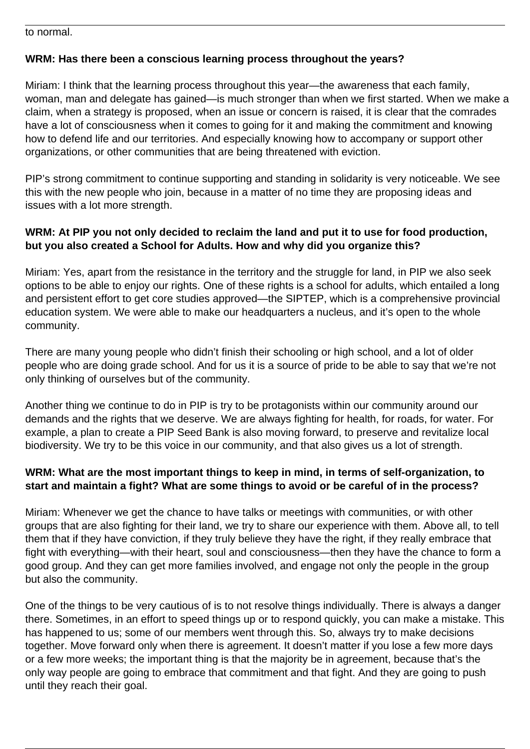to normal.

# **WRM: Has there been a conscious learning process throughout the years?**

Miriam: I think that the learning process throughout this year—the awareness that each family, woman, man and delegate has gained—is much stronger than when we first started. When we make a claim, when a strategy is proposed, when an issue or concern is raised, it is clear that the comrades have a lot of consciousness when it comes to going for it and making the commitment and knowing how to defend life and our territories. And especially knowing how to accompany or support other organizations, or other communities that are being threatened with eviction.

PIP's strong commitment to continue supporting and standing in solidarity is very noticeable. We see this with the new people who join, because in a matter of no time they are proposing ideas and issues with a lot more strength.

## **WRM: At PIP you not only decided to reclaim the land and put it to use for food production, but you also created a School for Adults. How and why did you organize this?**

Miriam: Yes, apart from the resistance in the territory and the struggle for land, in PIP we also seek options to be able to enjoy our rights. One of these rights is a school for adults, which entailed a long and persistent effort to get core studies approved—the SIPTEP, which is a comprehensive provincial education system. We were able to make our headquarters a nucleus, and it's open to the whole community.

There are many young people who didn't finish their schooling or high school, and a lot of older people who are doing grade school. And for us it is a source of pride to be able to say that we're not only thinking of ourselves but of the community.

Another thing we continue to do in PIP is try to be protagonists within our community around our demands and the rights that we deserve. We are always fighting for health, for roads, for water. For example, a plan to create a PIP Seed Bank is also moving forward, to preserve and revitalize local biodiversity. We try to be this voice in our community, and that also gives us a lot of strength.

# **WRM: What are the most important things to keep in mind, in terms of self-organization, to start and maintain a fight? What are some things to avoid or be careful of in the process?**

Miriam: Whenever we get the chance to have talks or meetings with communities, or with other groups that are also fighting for their land, we try to share our experience with them. Above all, to tell them that if they have conviction, if they truly believe they have the right, if they really embrace that fight with everything—with their heart, soul and consciousness—then they have the chance to form a good group. And they can get more families involved, and engage not only the people in the group but also the community.

One of the things to be very cautious of is to not resolve things individually. There is always a danger there. Sometimes, in an effort to speed things up or to respond quickly, you can make a mistake. This has happened to us; some of our members went through this. So, always try to make decisions together. Move forward only when there is agreement. It doesn't matter if you lose a few more days or a few more weeks; the important thing is that the majority be in agreement, because that's the only way people are going to embrace that commitment and that fight. And they are going to push until they reach their goal.